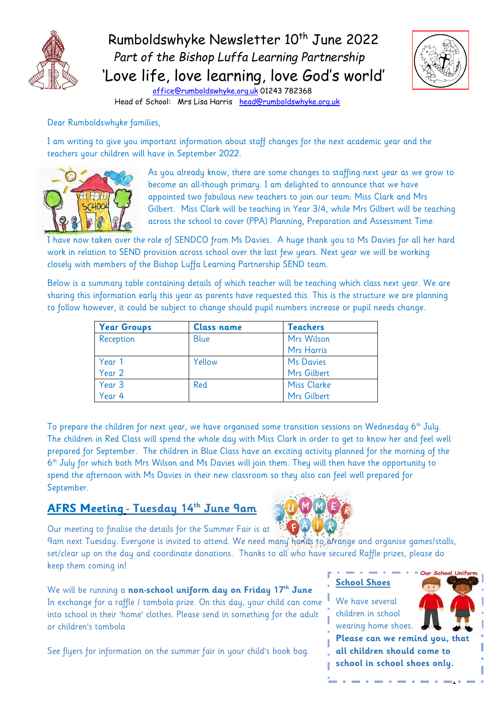

# Rumboldswhyke Newsletter 10<sup>th</sup> June 2022  *Part of the Bishop Luffa Learning Partnership* 'Love life, love learning, love God's world'



 [office@rumboldswhyke.org.uk](mailto:office@rumboldswhyke.org.uk) 01243 782368 Head of School: Mrs Lisa Harris [head@rumboldswhyke.org.uk](mailto:head@rumboldswhyke.org.uk)

Dear Rumboldswhyke families,

I am writing to give you important information about staff changes for the next academic year and the teachers your children will have in September 2022.



As you already know, there are some changes to staffing next year as we grow to become an all-though primary. I am delighted to announce that we have appointed two fabulous new teachers to join our team: Miss Clark and Mrs Gilbert. Miss Clark will be teaching in Year 3/4, while Mrs Gilbert will be teaching across the school to cover (PPA) Planning, Preparation and Assessment Time.

I have now taken over the role of SENDCO from Ms Davies. A huge thank you to Ms Davies for all her hard work in relation to SEND provision across school over the last few years. Next year we will be working closely with members of the Bishop Luffa Learning Partnership SEND team.

Below is a summary table containing details of which teacher will be teaching which class next year. We are sharing this information early this year as parents have requested this. This is the structure we are planning to follow however, it could be subject to change should pupil numbers increase or pupil needs change.

| <b>Year Groups</b> | <b>Class name</b> | <b>Teachers</b>    |
|--------------------|-------------------|--------------------|
| Reception          | Blue              | Mrs Wilson         |
|                    |                   | <b>Mrs Harris</b>  |
| Year 1             | Yellow            | Ms Davies          |
| Year 2             |                   | Mrs Gilbert        |
| Year <sub>3</sub>  | Red               | <b>Miss Clarke</b> |
| Year 4             |                   | Mrs Gilbert        |

To prepare the children for next year, we have organised some transition sessions on Wednesday  $6<sup>th</sup>$  July. The children in Red Class will spend the whole day with Miss Clark in order to get to know her and feel well prepared for September. The children in Blue Class have an exciting activity planned for the morning of the 6<sup>th</sup> July for which both Mrs Wilson and Ms Davies will join them. They will then have the opportunity to spend the afternoon with Ms Davies in their new classroom so they also can feel well prepared for September.

#### **AFRS Meeting - Tuesday 14th June 9am**



Our meeting to finalise the details for the Summer Fair is at

9am next Tuesday. Everyone is invited to attend. We need many hands to arrange and organise games/stalls, set/clear up on the day and coordinate donations. Thanks to all who have secured Raffle prizes, please do keep them coming in!

We will be running a **non-school uniform day on Friday 17th June** In exchange for a raffle / tombola prize. On this day, your child can come into school in their 'home' clothes. Please send in something for the adult or children's tombola

See flyers for information on the summer fair in your child's book bag.

## **School Shoes**

We have several children in school wearing home shoes.



1

**Please can we remind you, that all children should come to school in school shoes only.**